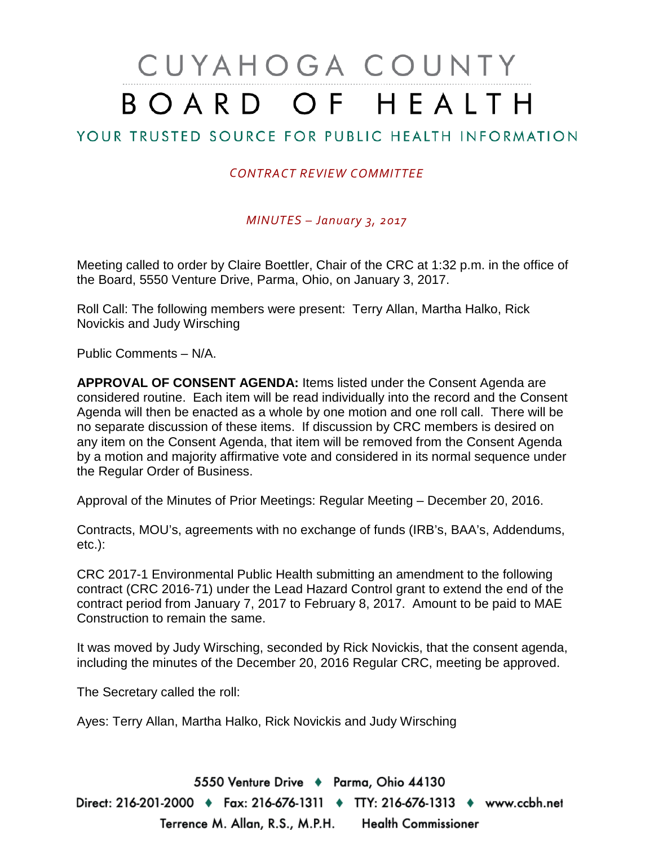# CUYAHOGA COUNTY BOARD OF HEALTH

## YOUR TRUSTED SOURCE FOR PUBLIC HEALTH INFORMATION

#### *CONTRACT REVIEW COMMITTEE*

*MINUTES – January 3, 2017*

Meeting called to order by Claire Boettler, Chair of the CRC at 1:32 p.m. in the office of the Board, 5550 Venture Drive, Parma, Ohio, on January 3, 2017.

Roll Call: The following members were present: Terry Allan, Martha Halko, Rick Novickis and Judy Wirsching

Public Comments – N/A.

**APPROVAL OF CONSENT AGENDA:** Items listed under the Consent Agenda are considered routine. Each item will be read individually into the record and the Consent Agenda will then be enacted as a whole by one motion and one roll call. There will be no separate discussion of these items. If discussion by CRC members is desired on any item on the Consent Agenda, that item will be removed from the Consent Agenda by a motion and majority affirmative vote and considered in its normal sequence under the Regular Order of Business.

Approval of the Minutes of Prior Meetings: Regular Meeting – December 20, 2016.

Contracts, MOU's, agreements with no exchange of funds (IRB's, BAA's, Addendums, etc.):

CRC 2017-1 Environmental Public Health submitting an amendment to the following contract (CRC 2016-71) under the Lead Hazard Control grant to extend the end of the contract period from January 7, 2017 to February 8, 2017. Amount to be paid to MAE Construction to remain the same.

It was moved by Judy Wirsching, seconded by Rick Novickis, that the consent agenda, including the minutes of the December 20, 2016 Regular CRC, meeting be approved.

The Secretary called the roll:

Ayes: Terry Allan, Martha Halko, Rick Novickis and Judy Wirsching

5550 Venture Drive + Parma, Ohio 44130 Direct: 216-201-2000 ♦ Fax: 216-676-1311 ♦ TTY: 216-676-1313 ♦ www.ccbh.net Terrence M. Allan, R.S., M.P.H. Health Commissioner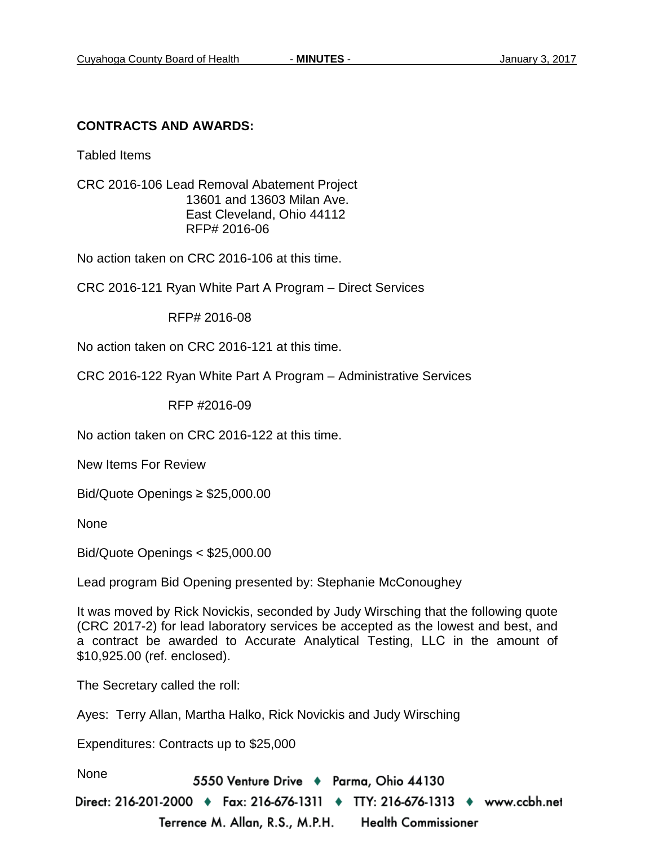#### **CONTRACTS AND AWARDS:**

Tabled Items

CRC 2016-106 Lead Removal Abatement Project 13601 and 13603 Milan Ave. East Cleveland, Ohio 44112 RFP# 2016-06

No action taken on CRC 2016-106 at this time.

CRC 2016-121 Ryan White Part A Program – Direct Services

RFP# 2016-08

No action taken on CRC 2016-121 at this time.

CRC 2016-122 Ryan White Part A Program – Administrative Services

RFP #2016-09

No action taken on CRC 2016-122 at this time.

New Items For Review

Bid/Quote Openings ≥ \$25,000.00

None

Bid/Quote Openings < \$25,000.00

Lead program Bid Opening presented by: Stephanie McConoughey

It was moved by Rick Novickis, seconded by Judy Wirsching that the following quote (CRC 2017-2) for lead laboratory services be accepted as the lowest and best, and a contract be awarded to Accurate Analytical Testing, LLC in the amount of \$10,925.00 (ref. enclosed).

The Secretary called the roll:

Ayes: Terry Allan, Martha Halko, Rick Novickis and Judy Wirsching

Expenditures: Contracts up to \$25,000

None

5550 Venture Drive + Parma, Ohio 44130

Direct: 216-201-2000 ♦ Fax: 216-676-1311 ♦ TTY: 216-676-1313 ♦ www.ccbh.net Terrence M. Allan, R.S., M.P.H. Health Commissioner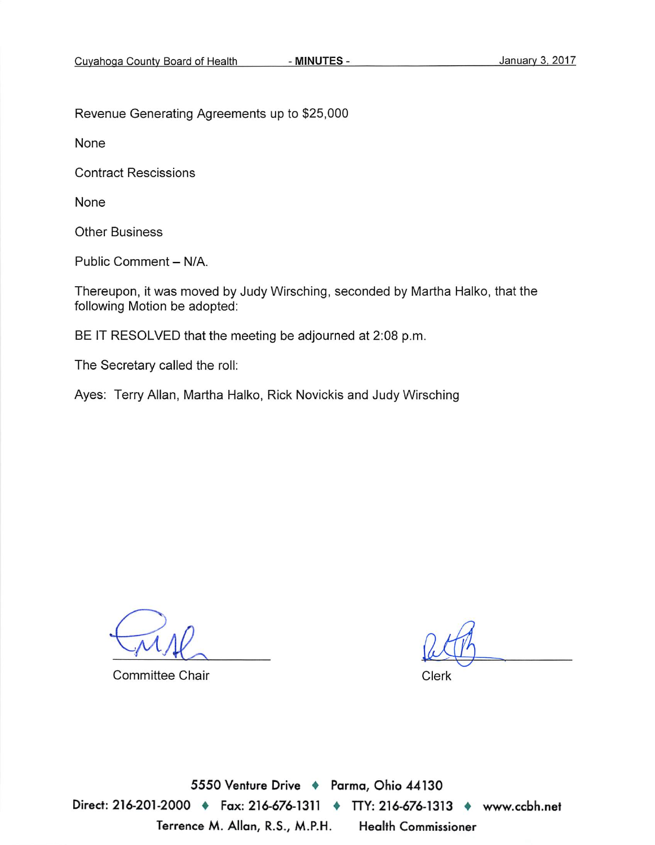Revenue Generating Agreements up to \$25,000

None

**Contract Rescissions** 

None

**Other Business** 

Public Comment - N/A.

Thereupon, it was moved by Judy Wirsching, seconded by Martha Halko, that the following Motion be adopted:

BE IT RESOLVED that the meeting be adjourned at 2:08 p.m.

The Secretary called the roll:

Ayes: Terry Allan, Martha Halko, Rick Novickis and Judy Wirsching

**Committee Chair** 

Clerk

5550 Venture Drive + Parma, Ohio 44130 Direct: 216-201-2000 • Fax: 216-676-1311 • ITY: 216-676-1313 • www.ccbh.net Terrence M. Allan, R.S., M.P.H. **Health Commissioner**